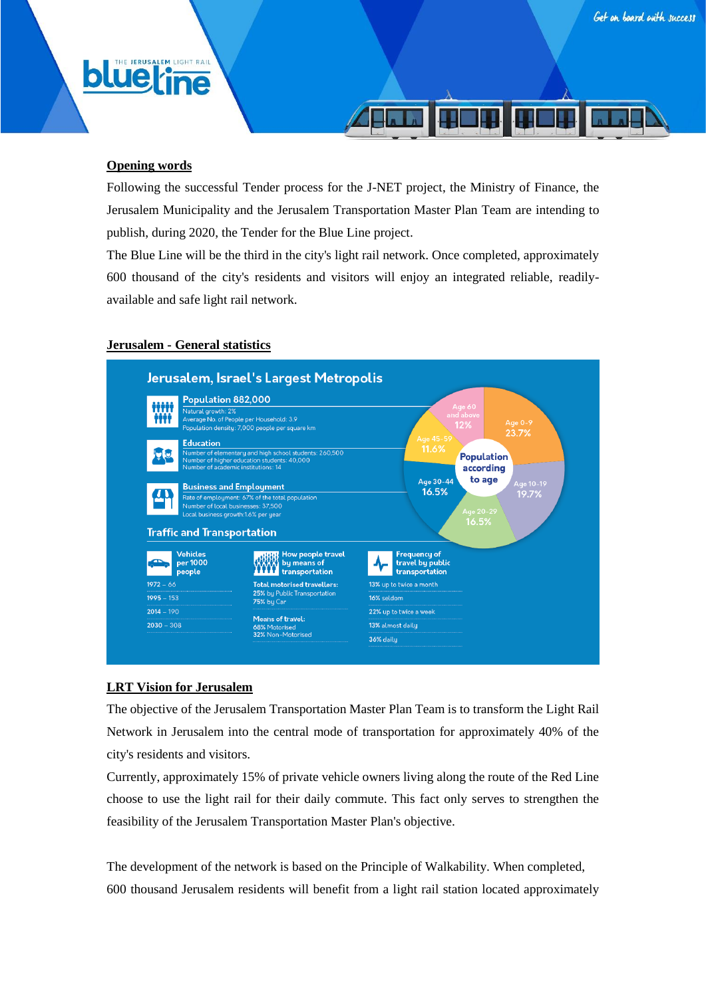# **Opening words**

**blue** 

**JERUSALEM LIGHT RAIL** 

Following the successful Tender process for the J-NET project, the Ministry of Finance, the Jerusalem Municipality and the Jerusalem Transportation Master Plan Team are intending to publish, during 2020, the Tender for the Blue Line project.

The Blue Line will be the third in the city's light rail network. Once completed, approximately 600 thousand of the city's residents and visitors will enjoy an integrated reliable, readilyavailable and safe light rail network.

#### **Jerusalem - General statistics**



## **LRT Vision for Jerusalem**

The objective of the Jerusalem Transportation Master Plan Team is to transform the Light Rail Network in Jerusalem into the central mode of transportation for approximately 40% of the city's residents and visitors.

Currently, approximately 15% of private vehicle owners living along the route of the Red Line choose to use the light rail for their daily commute. This fact only serves to strengthen the feasibility of the Jerusalem Transportation Master Plan's objective.

The development of the network is based on the Principle of Walkability. When completed, 600 thousand Jerusalem residents will benefit from a light rail station located approximately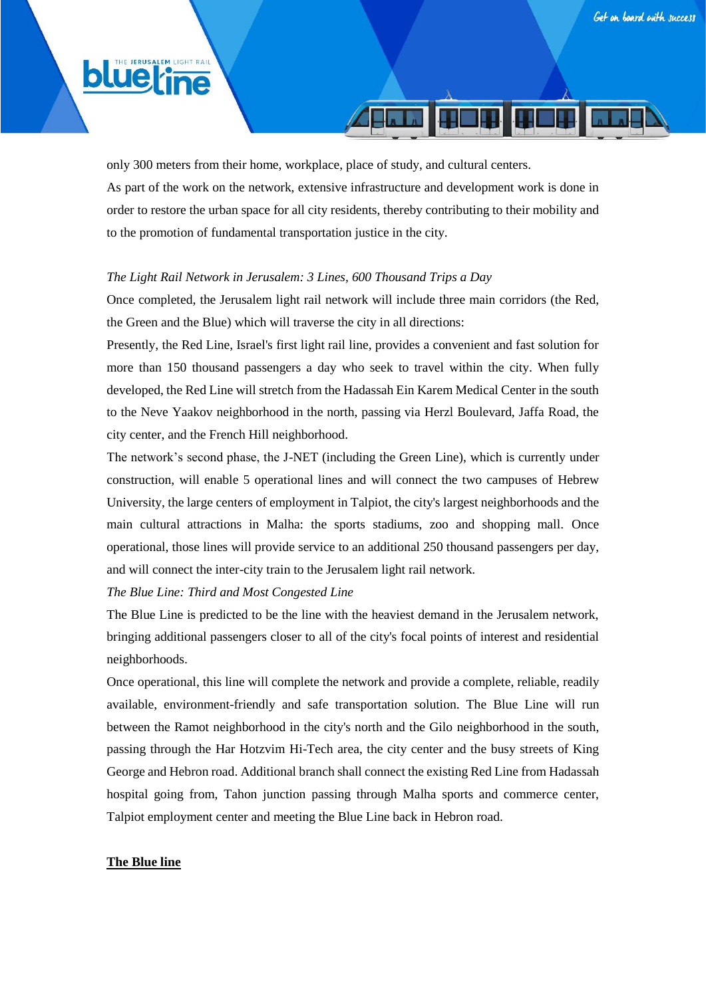# **blue**



# *The Light Rail Network in Jerusalem: 3 Lines, 600 Thousand Trips a Day*

Once completed, the Jerusalem light rail network will include three main corridors (the Red, the Green and the Blue) which will traverse the city in all directions:

Presently, the Red Line, Israel's first light rail line, provides a convenient and fast solution for more than 150 thousand passengers a day who seek to travel within the city. When fully developed, the Red Line will stretch from the Hadassah Ein Karem Medical Center in the south to the Neve Yaakov neighborhood in the north, passing via Herzl Boulevard, Jaffa Road, the city center, and the French Hill neighborhood.

The network's second phase, the J-NET (including the Green Line), which is currently under construction, will enable 5 operational lines and will connect the two campuses of Hebrew University, the large centers of employment in Talpiot, the city's largest neighborhoods and the main cultural attractions in Malha: the sports stadiums, zoo and shopping mall. Once operational, those lines will provide service to an additional 250 thousand passengers per day, and will connect the inter-city train to the Jerusalem light rail network.

*The Blue Line: Third and Most Congested Line*

The Blue Line is predicted to be the line with the heaviest demand in the Jerusalem network, bringing additional passengers closer to all of the city's focal points of interest and residential neighborhoods.

Once operational, this line will complete the network and provide a complete, reliable, readily available, environment-friendly and safe transportation solution. The Blue Line will run between the Ramot neighborhood in the city's north and the Gilo neighborhood in the south, passing through the Har Hotzvim Hi-Tech area, the city center and the busy streets of King George and Hebron road. Additional branch shall connect the existing Red Line from Hadassah hospital going from, Tahon junction passing through Malha sports and commerce center, Talpiot employment center and meeting the Blue Line back in Hebron road.

## **The Blue line**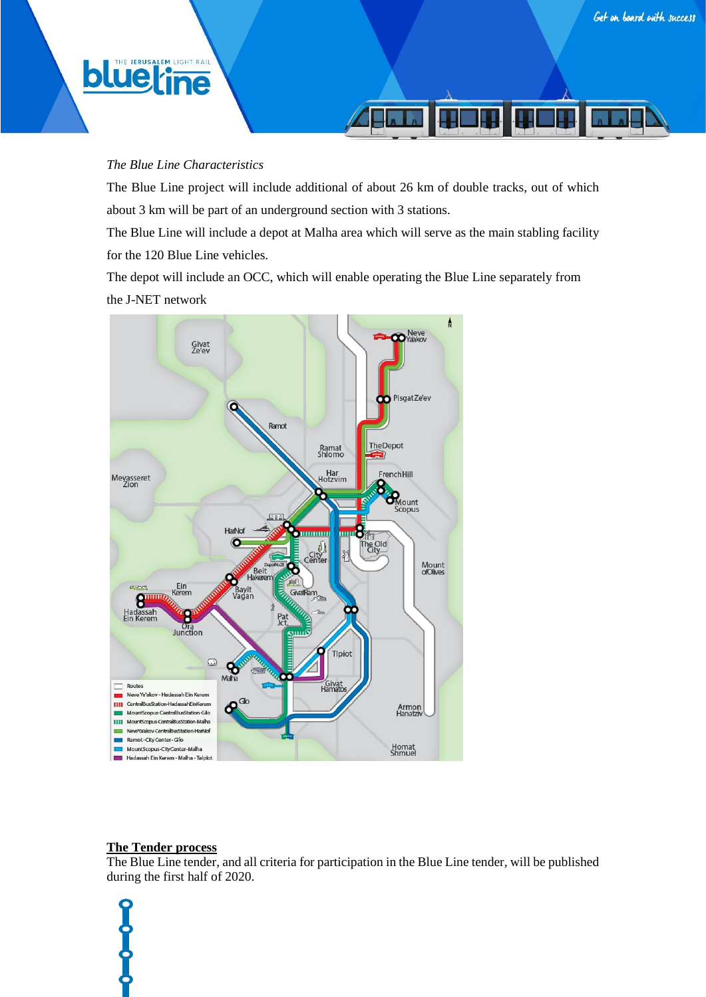**JERUSALEM LIGHT RAIL** 

**blue**line

## *The Blue Line Characteristics*

The Blue Line project will include additional of about 26 km of double tracks, out of which about 3 km will be part of an underground section with 3 stations.

The Blue Line will include a depot at Malha area which will serve as the main stabling facility for the 120 Blue Line vehicles.

The depot will include an OCC, which will enable operating the Blue Line separately from the J-NET network



# **The Tender process**

The Blue Line tender, and all criteria for participation in the Blue Line tender, will be published during the first half of 2020.